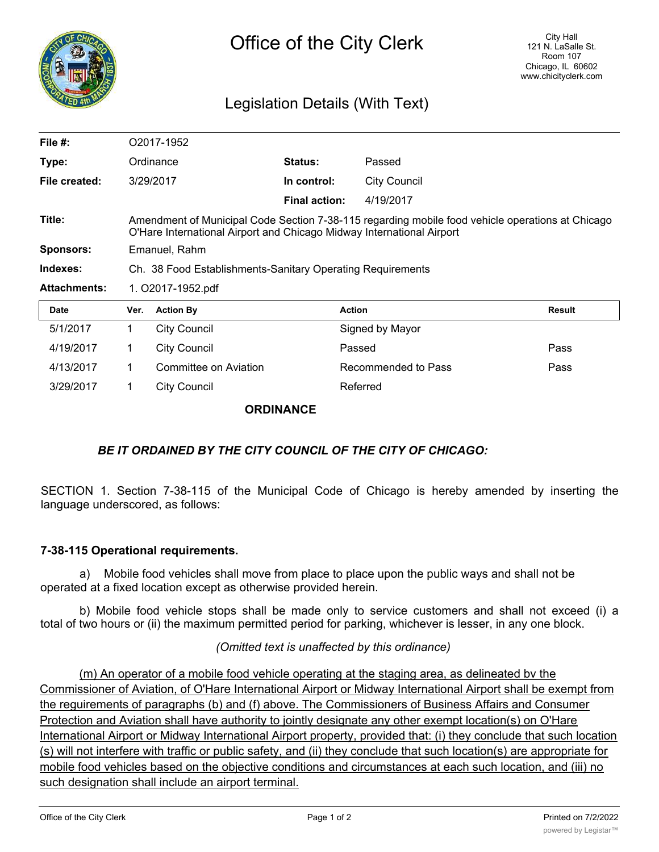

# Legislation Details (With Text)

| File $#$ :          |                                                                                                                                                                           | O2017-1952            |                      |                     |               |
|---------------------|---------------------------------------------------------------------------------------------------------------------------------------------------------------------------|-----------------------|----------------------|---------------------|---------------|
| Type:               | Ordinance                                                                                                                                                                 |                       | <b>Status:</b>       | Passed              |               |
| File created:       | 3/29/2017                                                                                                                                                                 |                       | In control:          | <b>City Council</b> |               |
|                     |                                                                                                                                                                           |                       | <b>Final action:</b> | 4/19/2017           |               |
| Title:              | Amendment of Municipal Code Section 7-38-115 regarding mobile food vehicle operations at Chicago<br>O'Hare International Airport and Chicago Midway International Airport |                       |                      |                     |               |
| <b>Sponsors:</b>    | Emanuel, Rahm                                                                                                                                                             |                       |                      |                     |               |
| Indexes:            | Ch. 38 Food Establishments-Sanitary Operating Requirements                                                                                                                |                       |                      |                     |               |
| <b>Attachments:</b> | 1. O2017-1952.pdf                                                                                                                                                         |                       |                      |                     |               |
| <b>Date</b>         | Ver.                                                                                                                                                                      | <b>Action By</b>      |                      | <b>Action</b>       | <b>Result</b> |
| 5/1/2017            | 1                                                                                                                                                                         | <b>City Council</b>   |                      | Signed by Mayor     |               |
| 4/19/2017           | 1                                                                                                                                                                         | <b>City Council</b>   |                      | Passed              | Pass          |
| 4/13/2017           | 1                                                                                                                                                                         | Committee on Aviation |                      | Recommended to Pass | Pass          |
| 3/29/2017           | 1                                                                                                                                                                         | <b>City Council</b>   |                      | Referred            |               |

#### **ORDINANCE**

## *BE IT ORDAINED BY THE CITY COUNCIL OF THE CITY OF CHICAGO:*

SECTION 1. Section 7-38-115 of the Municipal Code of Chicago is hereby amended by inserting the language underscored, as follows:

### **7-38-115 Operational requirements.**

a) Mobile food vehicles shall move from place to place upon the public ways and shall not be operated at a fixed location except as otherwise provided herein.

b) Mobile food vehicle stops shall be made only to service customers and shall not exceed (i) a total of two hours or (ii) the maximum permitted period for parking, whichever is lesser, in any one block.

### *(Omitted text is unaffected by this ordinance)*

(m) An operator of a mobile food vehicle operating at the staging area, as delineated bv the Commissioner of Aviation, of O'Hare International Airport or Midway International Airport shall be exempt from the reguirements of paragraphs (b) and (f) above. The Commissioners of Business Affairs and Consumer Protection and Aviation shall have authority to jointly designate any other exempt location(s) on O'Hare International Airport or Midway International Airport property, provided that: (i) they conclude that such location (s) will not interfere with traffic or public safety, and (ii) they conclude that such location(s) are appropriate for mobile food vehicles based on the objective conditions and circumstances at each such location, and (iii) no such designation shall include an airport terminal.